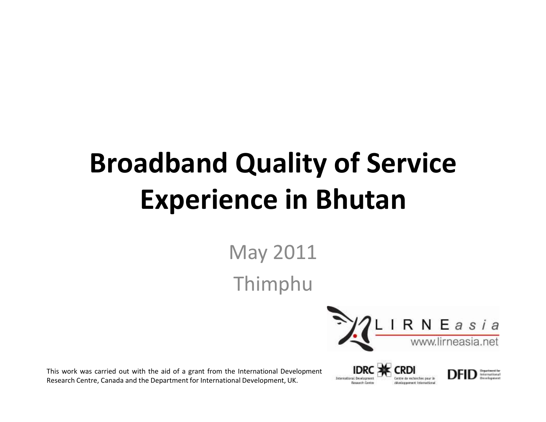# **Broadband Quality of Service Experience in Bhutan**

May 2011Thimphu



This work was carried out with the aid of <sup>a</sup> grant from the International Development Research Centre, Canada and the Department for International Development, UK.

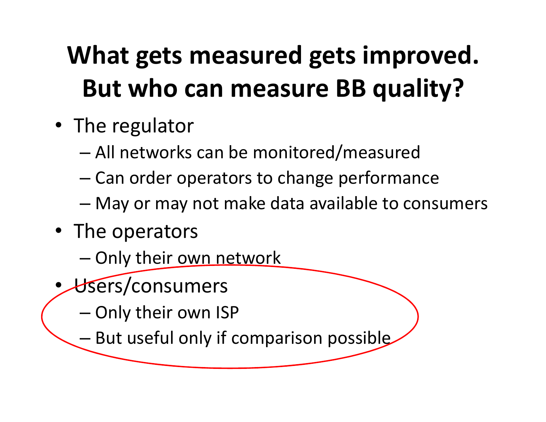## **What gets measured gets improved. But who can measure BB quality?**

- The regulator
	- –All networks can be monitored/measured
	- – $-$  Can order operators to change performance
	- –May or may not make data available to consumers
- The operators
	- –— Only their <u>own network</u>
- • Users/consumers
	- – $-$  Only their own ISP
	- –- But useful only if comparison possible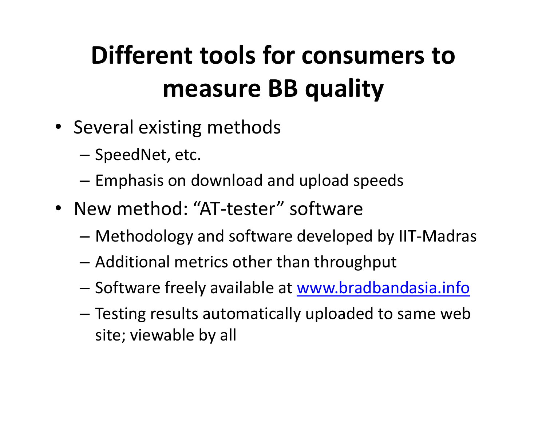## **Different tools for consumers to measure BB quality**

- Several existing methods
	- – $-$  SpeedNet, etc.
	- – $-$  Emphasis on download and upload speeds
- New method: "AT-tester" software
	- –Methodology and software developed by IIT-Madras
	- – $-$  Additional metrics other than throughput
	- –— Software freely available at <u>www.bradbandasia.info</u>
	- – Testing results automatically uploaded to same web site; viewable by all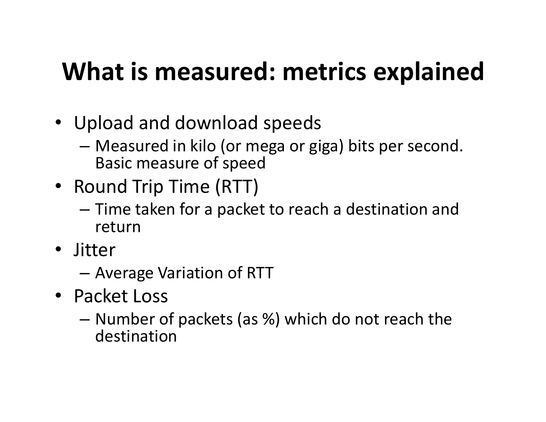## **What is measured: metrics explained**

- Upload and download speeds
	- –– Measured in kilo (or mega or giga) bits per second.<br>Pesis measure of mead Basic measure of speed
- Round Trip Time (RTT)
	- –- Time taken for a packet to reach a destination and return
- Jitter
	- –Average Variation of RTT
- Packet Loss
	- –- Number of packets (as %) which do not reach the destination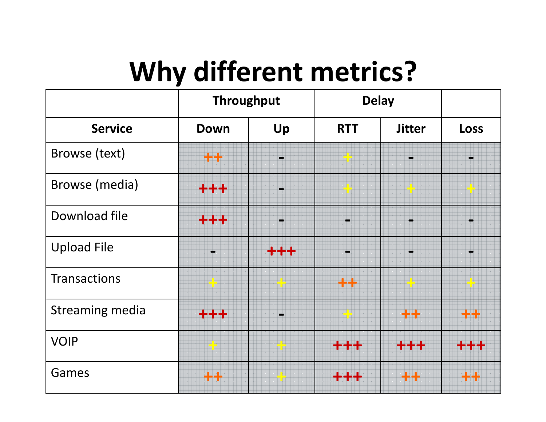# **Why different metrics?**

|                        | <b>Throughput</b>       |                      | <b>Delay</b>         |                                                                              |                        |
|------------------------|-------------------------|----------------------|----------------------|------------------------------------------------------------------------------|------------------------|
| <b>Service</b>         | <b>Down</b>             | Up                   | <b>RTT</b>           | <b>Jitter</b>                                                                | <b>Loss</b>            |
| Browse (text)          | ++                      |                      | e <mark>i</mark> ber |                                                                              |                        |
| <b>Browse</b> (media)  | +++                     |                      | <u>i de </u>         | iana <mark>i</mark> Ban<br>Ian <mark>g Ban</mark><br>Iang <mark>L</mark> ang |                        |
| Download file          | +++                     |                      |                      |                                                                              |                        |
| <b>Upload File</b>     |                         | +++                  |                      |                                                                              |                        |
| <b>Transactions</b>    | <b>AL</b>               | <u>era</u>           | $+ +$                | a <mark>d</mark> e                                                           | e de                   |
| <b>Streaming media</b> | $+ + +$                 |                      | a <mark>d</mark> e s | $+ +$                                                                        | $+ +$                  |
| <b>VOIP</b>            | anda <mark>1</mark> 990 | en <mark>t</mark> en | +++                  | ╋╋╋                                                                          | <b>  44</b>            |
| Games                  | $+ +$                   | <mark>e k</mark> a   | ╈╈╈                  | 44                                                                           | $\mathbf{+}\mathbf{+}$ |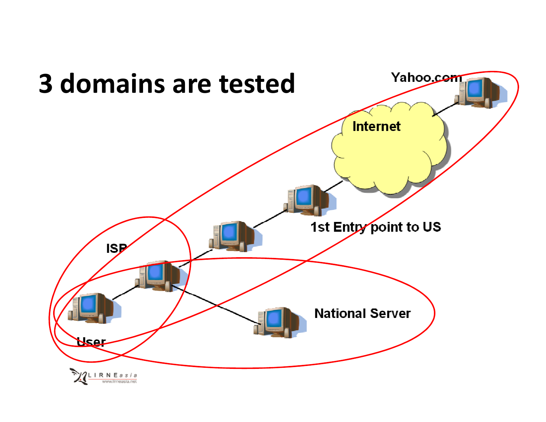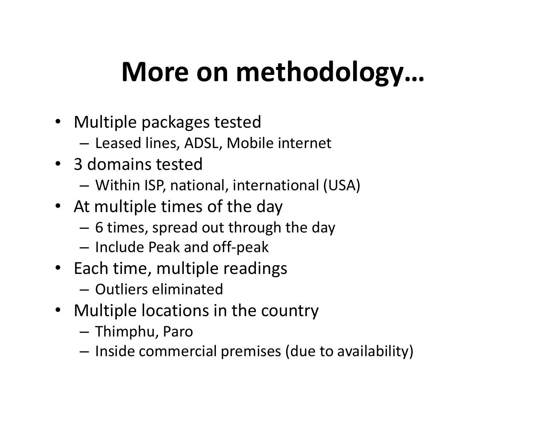# **More on methodology…**

- Multiple packages tested
	- – $-$  Leased lines, ADSL, Mobile internet
- 3 domains tested
	- Within ISP, national, international (USA)
- At multiple times of the day
	- $-$  6 times, spread out through the day
	- $-$  Include Peak and off-peak
- Each time, multiple readings
	- $-$  Outliers eliminated
- Multiple locations in the country
	- Thimphu, Paro
	- $-$  Inside commercial premises (due to availability)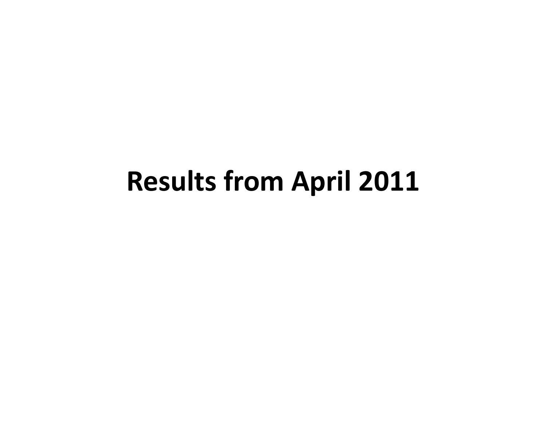## **Results from April 2011**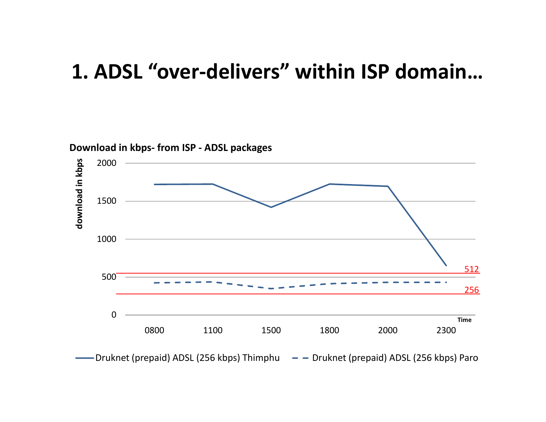### **1. ADSL "over-delivers" within ISP domain…**

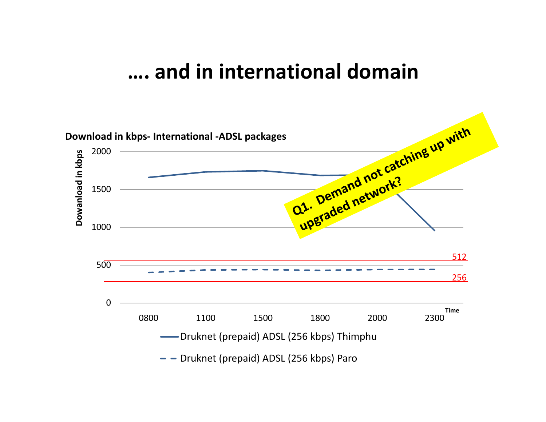#### **…. and in international domain**

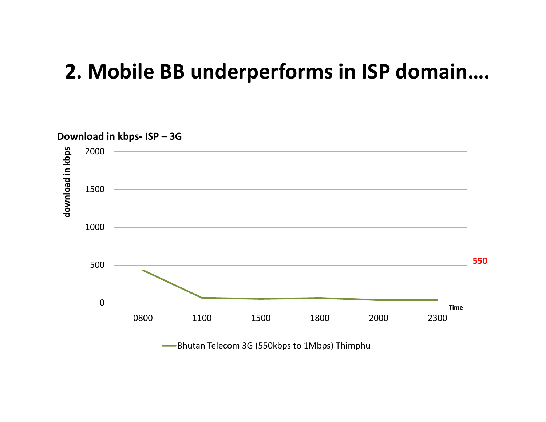### **2. Mobile BB underperforms in ISP domain….**



Bhutan Telecom 3G (550kbps to 1Mbps) Thimphu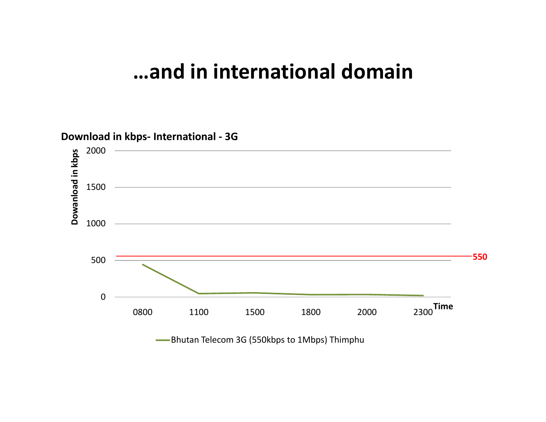#### **…and in international domain**



-Bhutan Telecom 3G (550kbps to 1Mbps) Thimphu  $\sim$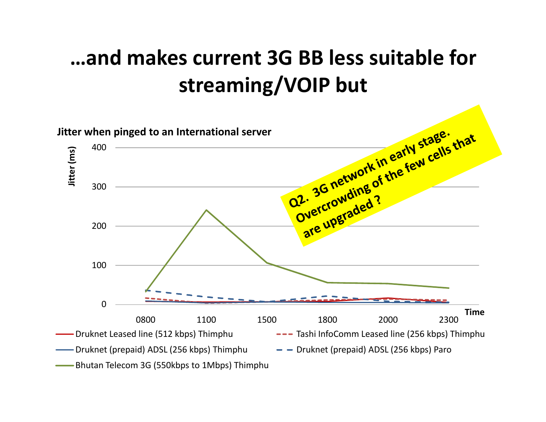### **…and makes current 3G BB less suitable for streaming/VOIP but**

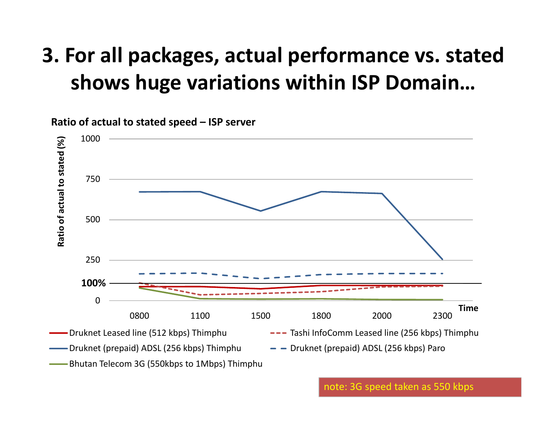### **3. For all packages, actual performance vs. stated shows huge variations within ISP Domain…**



**Ratio of actual to stated speed – ISP server** 

note: 3G speed taken as 550 kbps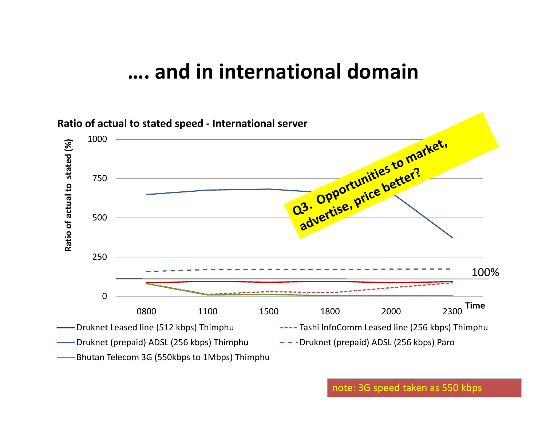#### **…. and in international domain**



note: 3G speed taken as 550 kbps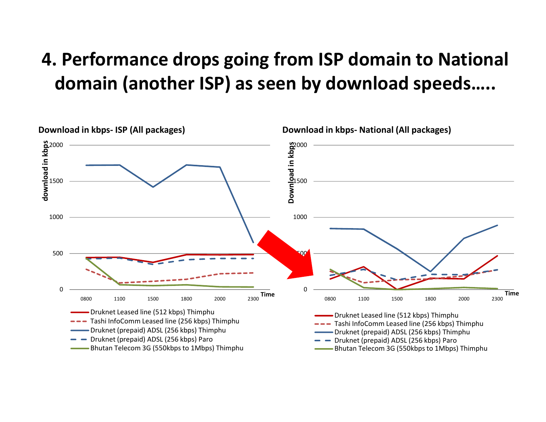### **4. Performance drops going from ISP domain to National domain (another ISP) as seen by download speeds…..**

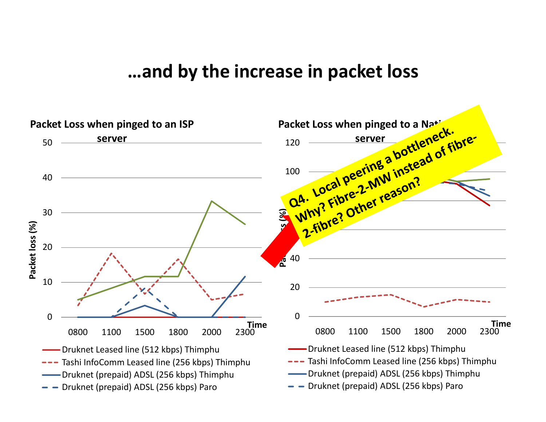#### **…and by the increase in packet loss**

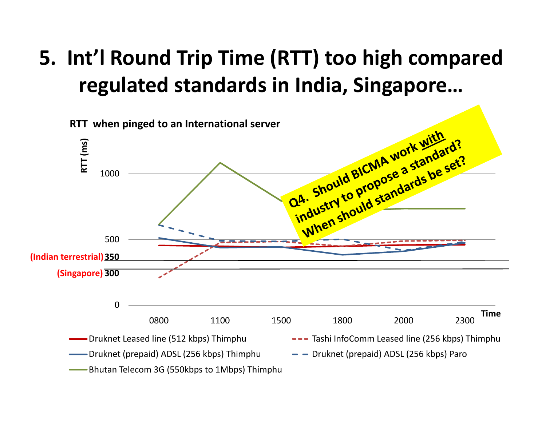### **5. Int'l Round Trip Time (RTT) too high compared regulated standards in India, Singapore…**

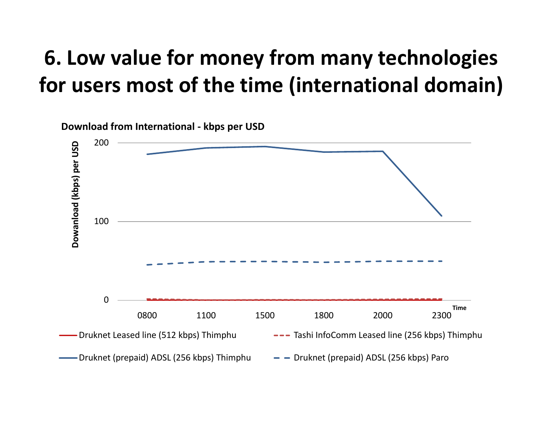### **6. Low value for money from many technologies for users most of the time (international domain)**

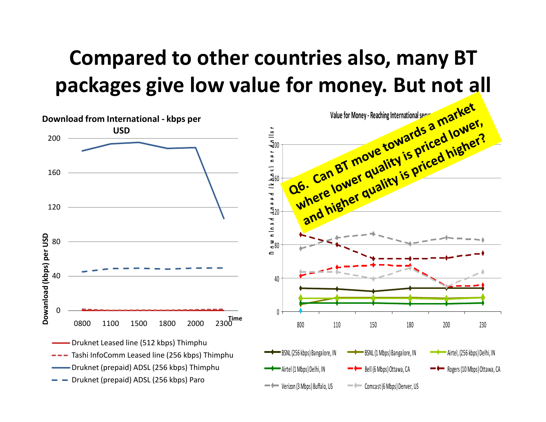### **Compared to other countries also, many BT packages give low value for money. But not all**

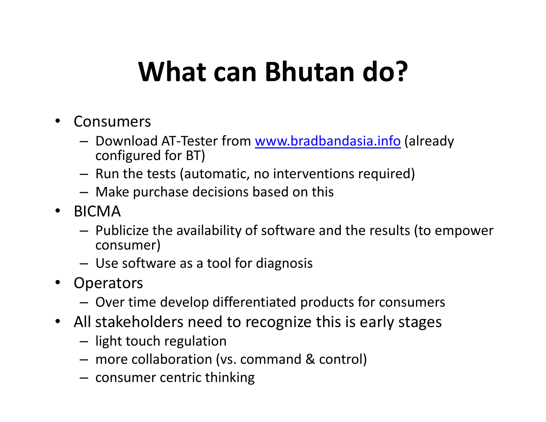## **What can Bhutan do?**

- • Consumers
	- –- Download AT-Tester from www.bradbandasia.info (already<br>configured for PT) configured for BT)
	- – $-$  Run the tests (automatic, no interventions required)
	- – $-$  Make purchase decisions based on this
- BICMA
	- –- Publicize the availability of software and the results (to empower consumer)
	- –Use software as a tool for diagnosis
- Operators
	- –Over time develop differentiated products for consumers
- All stakeholders need to recognize this is early stages
	- – $-$  light touch regulation
	- –more collaboration (vs. command & control)
	- – $-$  consumer centric thinking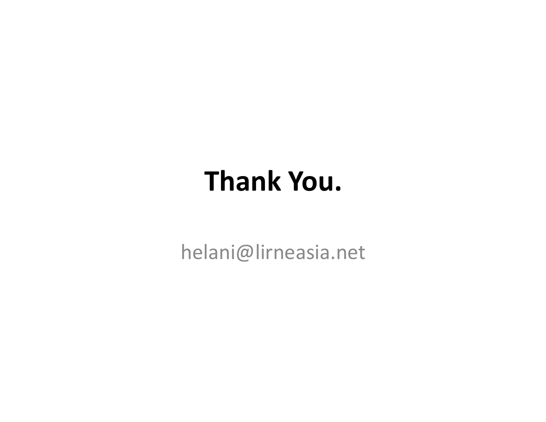# **Thank You.**

helani@lirneasia.net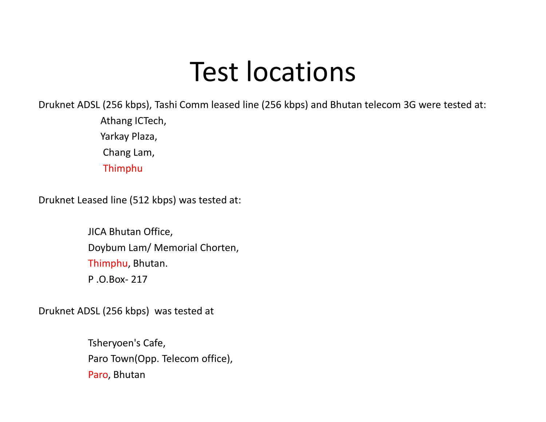## Test locations

Druknet ADSL (256 kbps), Tashi Comm leased line (256 kbps) and Bhutan telecom 3G were tested at:

Athang ICTech, Yarkay Plaza, Chang Lam,Thimphu

Druknet Leased line (512 kbps) was tested at:

JICA Bhutan Office,Doybum Lam/ Memorial Chorten, Thimphu, Bhutan.P .O.Box- <sup>217</sup>

Druknet ADSL (256 kbps) was tested at

Tsheryoen's Cafe, Paro Town(Opp. Telecom office),Paro, Bhutan